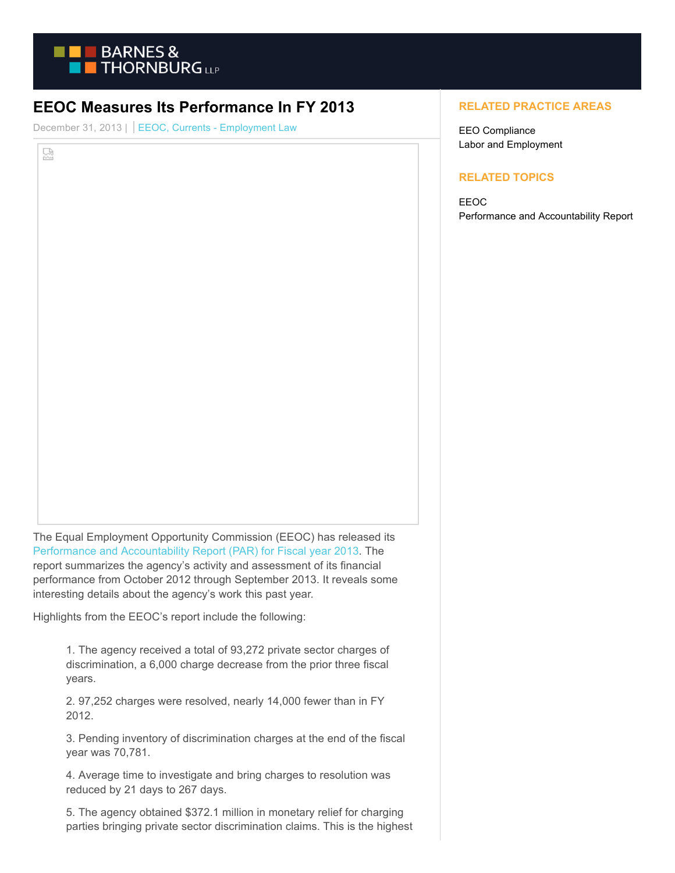

## **EEOC Measures Its Performance In FY 2013**

December 31, 2013 | EEOC, Currents - Employment Law

덣

The Equal Employment Opportunity Commission (EEOC) has released its [Performance and Accountability Report \(PAR\) for Fiscal year 2013.](http://www.eeoc.gov/eeoc/plan/2013par.cfm) The report summarizes the agency's activity and assessment of its financial performance from October 2012 through September 2013. It reveals some interesting details about the agency's work this past year.

Highlights from the EEOC's report include the following:

1. The agency received a total of 93,272 private sector charges of discrimination, a 6,000 charge decrease from the prior three fiscal years.

2. 97,252 charges were resolved, nearly 14,000 fewer than in FY 2012.

3. Pending inventory of discrimination charges at the end of the fiscal year was 70,781.

4. Average time to investigate and bring charges to resolution was reduced by 21 days to 267 days.

5. The agency obtained \$372.1 million in monetary relief for charging parties bringing private sector discrimination claims. This is the highest

## **RELATED PRACTICE AREAS**

EEO Compliance Labor and Employment

## **RELATED TOPICS**

EEOC Performance and Accountability Report